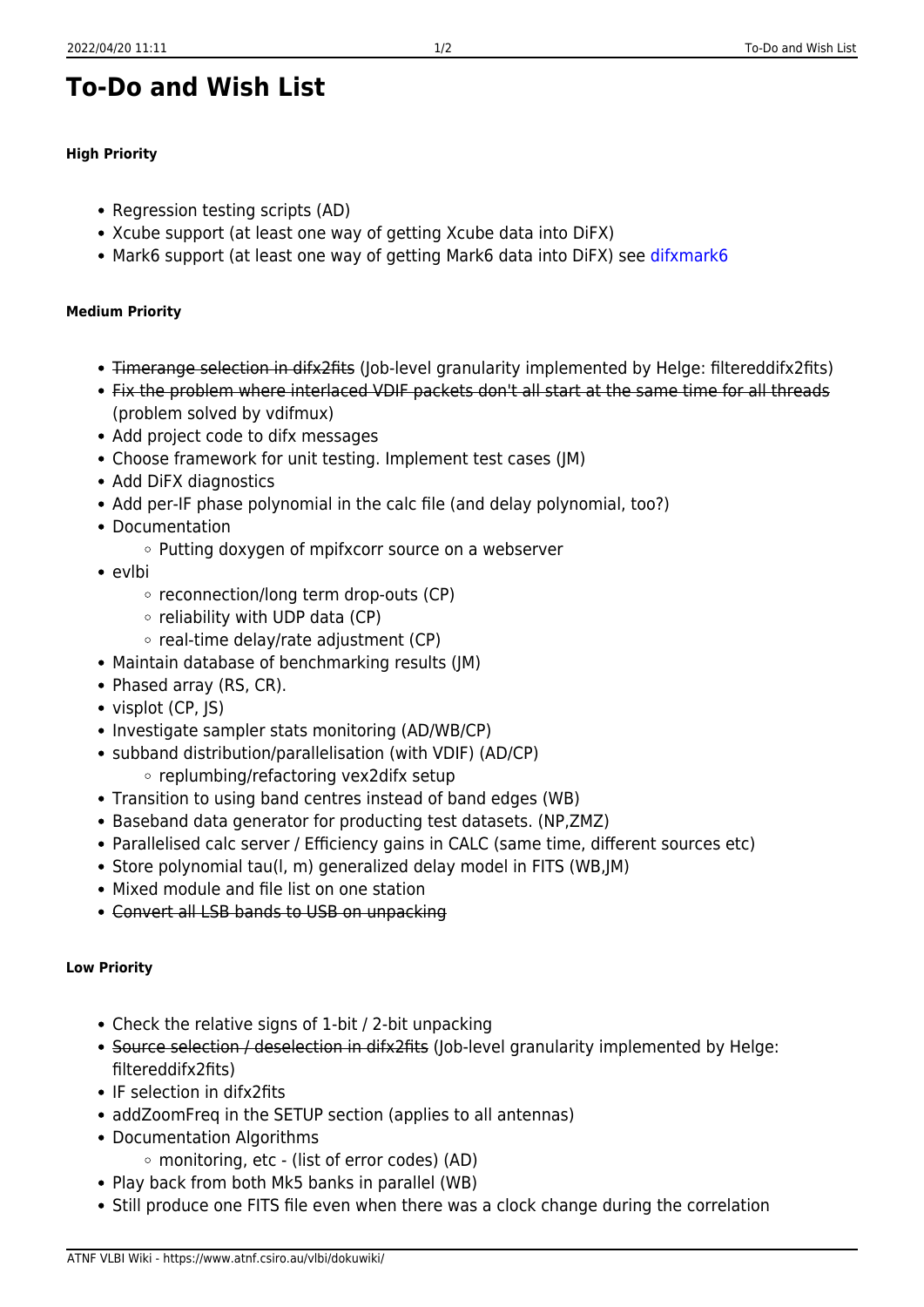## **To-Do and Wish List**

## **High Priority**

- Regression testing scripts (AD)
- Xcube support (at least one way of getting Xcube data into DiFX)
- Mark6 support (at least one way of getting Mark6 data into DiFX) see [difxmark6](https://www.atnf.csiro.au/vlbi/dokuwiki/doku.php/difx/difxmark6)

## **Medium Priority**

- Timerange selection in difx2fits (Job-level granularity implemented by Helge: filtereddifx2fits)
- Fix the problem where interlaced VDIF packets don't all start at the same time for all threads (problem solved by vdifmux)
- Add project code to difx messages
- Choose framework for unit testing. Implement test cases (JM)
- Add DiFX diagnostics
- Add per-IF phase polynomial in the calc file (and delay polynomial, too?)
- Documentation
	- $\circ$  Putting doxygen of mpifxcorr source on a webserver
- evlbi
	- $\circ$  reconnection/long term drop-outs (CP)
	- $\circ$  reliability with UDP data (CP)
	- $\circ$  real-time delay/rate adjustment (CP)
- Maintain database of benchmarking results (JM)
- Phased array (RS, CR).
- visplot (CP, IS)
- Investigate sampler stats monitoring (AD/WB/CP)
- subband distribution/parallelisation (with VDIF) (AD/CP)
	- replumbing/refactoring vex2difx setup
- Transition to using band centres instead of band edges (WB)
- Baseband data generator for producting test datasets. (NP,ZMZ)
- Parallelised calc server / Efficiency gains in CALC (same time, different sources etc)
- Store polynomial tau(I, m) generalized delay model in FITS (WB, JM)
- Mixed module and file list on one station
- Convert all LSB bands to USB on unpacking

## **Low Priority**

- Check the relative signs of 1-bit / 2-bit unpacking
- Source selection / deselection in difx2fits (Job-level granularity implemented by Helge: filtereddifx2fits)
- IF selection in difx2fits
- addZoomFreq in the SETUP section (applies to all antennas)
- Documentation Algorithms
	- monitoring, etc (list of error codes) (AD)
- Play back from both Mk5 banks in parallel (WB)
- Still produce one FITS file even when there was a clock change during the correlation